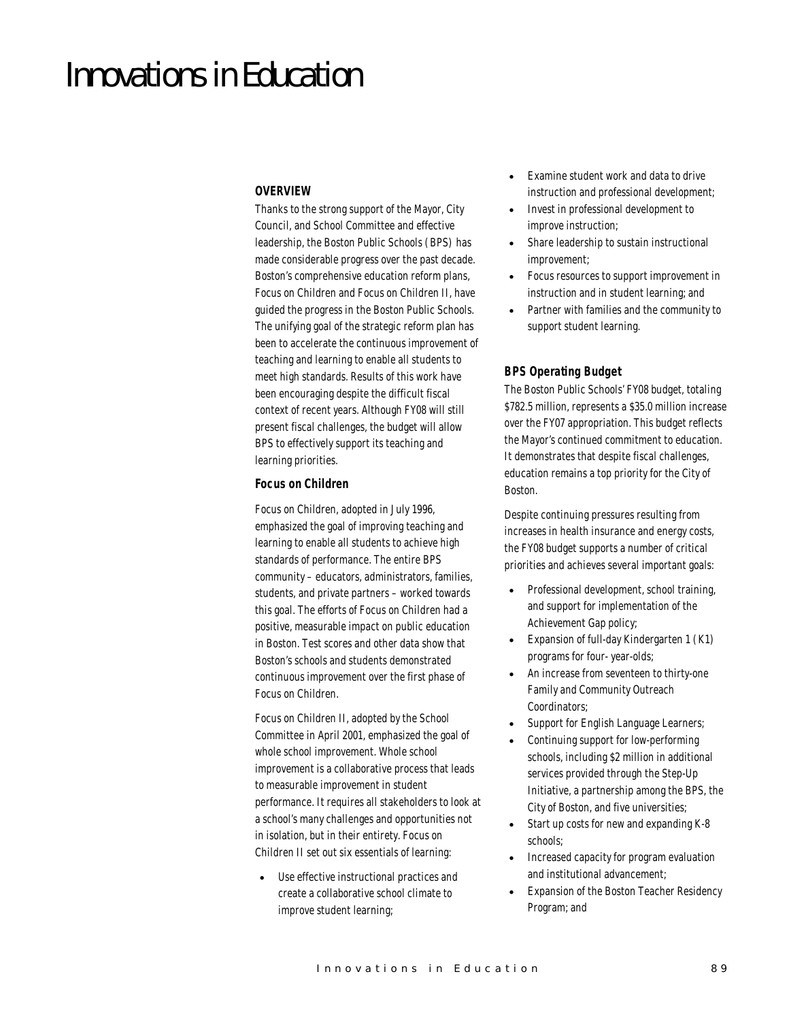# Innovations in Education

# *OVERVIEW*

Thanks to the strong support of the Mayor, City Council, and School Committee and effective leadership, the Boston Public Schools (BPS) has made considerable progress over the past decade. Boston's comprehensive education reform plans, Focus on Children and Focus on Children II, have guided the progress in the Boston Public Schools. The unifying goal of the strategic reform plan has been to accelerate the continuous improvement of teaching and learning to enable all students to meet high standards. Results of this work have been encouraging despite the difficult fiscal context of recent years. Although FY08 will still present fiscal challenges, the budget will allow BPS to effectively support its teaching and learning priorities.

## *Focus on Children*

Focus on Children, adopted in July 1996, emphasized the goal of improving teaching and learning to enable all students to achieve high standards of performance. The entire BPS community – educators, administrators, families, students, and private partners – worked towards this goal. The efforts of Focus on Children had a positive, measurable impact on public education in Boston. Test scores and other data show that Boston's schools and students demonstrated continuous improvement over the first phase of Focus on Children.

Focus on Children II, adopted by the School Committee in April 2001, emphasized the goal of whole school improvement. Whole school improvement is a collaborative process that leads to measurable improvement in student performance. It requires all stakeholders to look at a school's many challenges and opportunities not in isolation, but in their entirety. Focus on Children II set out six essentials of learning:

Use effective instructional practices and create a collaborative school climate to improve student learning;

- Examine student work and data to drive instruction and professional development;
- Invest in professional development to improve instruction;
- Share leadership to sustain instructional improvement;
- Focus resources to support improvement in instruction and in student learning; and
- Partner with families and the community to support student learning.

## *BPS Operating Budget*

The Boston Public Schools' FY08 budget, totaling \$782.5 million, represents a \$35.0 million increase over the FY07 appropriation. This budget reflects the Mayor's continued commitment to education. It demonstrates that despite fiscal challenges, education remains a top priority for the City of Boston.

Despite continuing pressures resulting from increases in health insurance and energy costs, the FY08 budget supports a number of critical priorities and achieves several important goals:

- Professional development, school training, and support for implementation of the Achievement Gap policy;
- Expansion of full-day Kindergarten 1 (K1) programs for four- year-olds;
- An increase from seventeen to thirty-one Family and Community Outreach Coordinators;
- Support for English Language Learners;
- Continuing support for low-performing schools, including \$2 million in additional services provided through the Step-Up Initiative, a partnership among the BPS, the City of Boston, and five universities;
- Start up costs for new and expanding K-8 schools;
- Increased capacity for program evaluation and institutional advancement;
- Expansion of the Boston Teacher Residency Program; and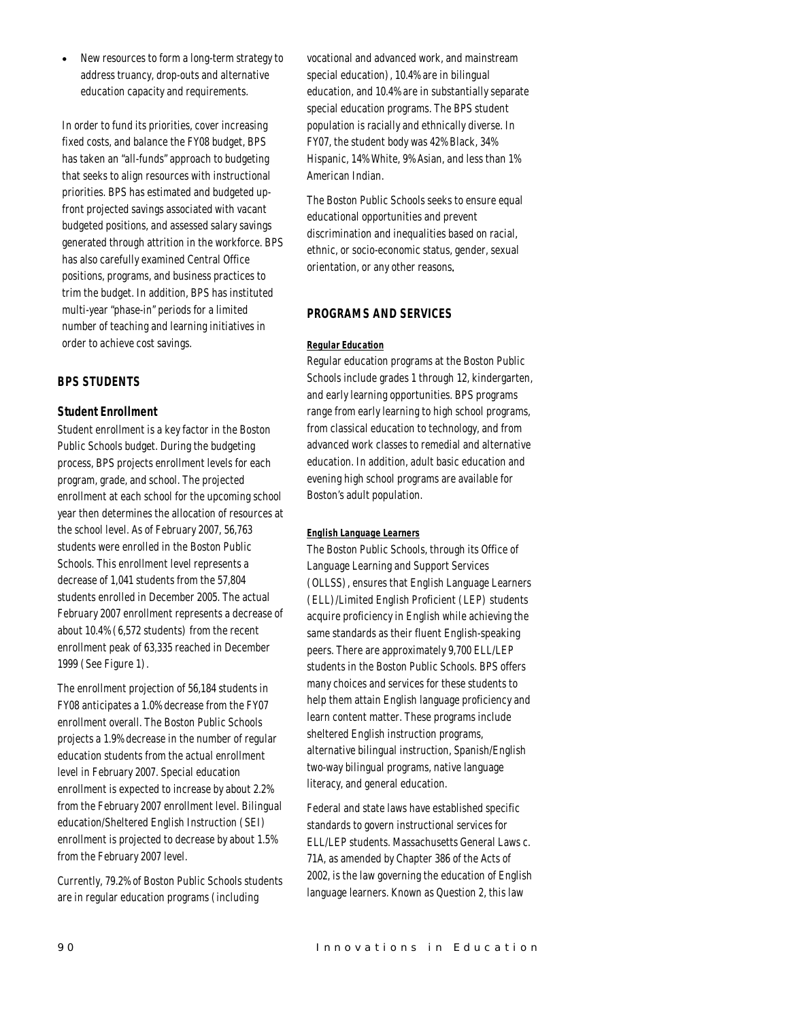• New resources to form a long-term strategy to address truancy, drop-outs and alternative education capacity and requirements.

In order to fund its priorities, cover increasing fixed costs, and balance the FY08 budget, BPS has taken an "all-funds" approach to budgeting that seeks to align resources with instructional priorities. BPS has estimated and budgeted upfront projected savings associated with vacant budgeted positions, and assessed salary savings generated through attrition in the workforce. BPS has also carefully examined Central Office positions, programs, and business practices to trim the budget. In addition, BPS has instituted multi-year "phase-in" periods for a limited number of teaching and learning initiatives in order to achieve cost savings.

# *BPS STUDENTS*

# *Student Enrollment*

Student enrollment is a key factor in the Boston Public Schools budget. During the budgeting process, BPS projects enrollment levels for each program, grade, and school. The projected enrollment at each school for the upcoming school year then determines the allocation of resources at the school level. As of February 2007, 56,763 students were enrolled in the Boston Public Schools. This enrollment level represents a decrease of 1,041 students from the 57,804 students enrolled in December 2005. The actual February 2007 enrollment represents a decrease of about 10.4% (6,572 students) from the recent enrollment peak of 63,335 reached in December 1999 (See Figure 1).

The enrollment projection of 56,184 students in FY08 anticipates a 1.0% decrease from the FY07 enrollment overall. The Boston Public Schools projects a 1.9% decrease in the number of regular education students from the actual enrollment level in February 2007. Special education enrollment is expected to increase by about 2.2% from the February 2007 enrollment level. Bilingual education/Sheltered English Instruction (SEI) enrollment is projected to decrease by about 1.5% from the February 2007 level.

Currently, 79.2% of Boston Public Schools students are in regular education programs (including

vocational and advanced work, and mainstream special education), 10.4% are in bilingual education, and 10.4% are in substantially separate special education programs. The BPS student population is racially and ethnically diverse. In FY07, the student body was 42% Black, 34% Hispanic, 14% White, 9% Asian, and less than 1% American Indian.

The Boston Public Schools seeks to ensure equal educational opportunities and prevent discrimination and inequalities based on racial, ethnic, or socio-economic status, gender, sexual orientation, or any other reasons.

# *PROGRAMS AND SERVICES*

## *Regular Education*

Regular education programs at the Boston Public Schools include grades 1 through 12, kindergarten, and early learning opportunities. BPS programs range from early learning to high school programs, from classical education to technology, and from advanced work classes to remedial and alternative education. In addition, adult basic education and evening high school programs are available for Boston's adult population.

#### *English Language Learners*

The Boston Public Schools, through its Office of Language Learning and Support Services (OLLSS), ensures that English Language Learners (ELL)/Limited English Proficient (LEP) students acquire proficiency in English while achieving the same standards as their fluent English-speaking peers. There are approximately 9,700 ELL/LEP students in the Boston Public Schools. BPS offers many choices and services for these students to help them attain English language proficiency and learn content matter. These programs include sheltered English instruction programs, alternative bilingual instruction, Spanish/English two-way bilingual programs, native language literacy, and general education.

Federal and state laws have established specific standards to govern instructional services for ELL/LEP students. Massachusetts General Laws c. 71A, as amended by Chapter 386 of the Acts of 2002, is the law governing the education of English language learners. Known as Question 2, this law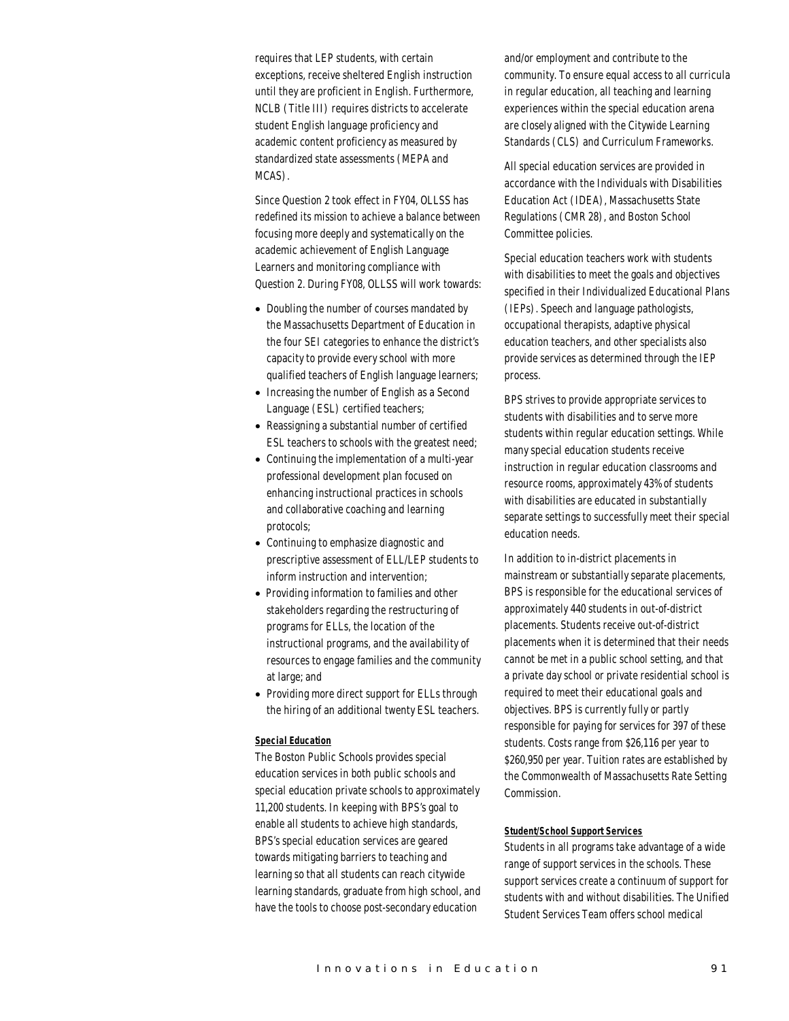requires that LEP students, with certain exceptions, receive sheltered English instruction until they are proficient in English. Furthermore, NCLB (Title III) requires districts to accelerate student English language proficiency and academic content proficiency as measured by standardized state assessments (MEPA and MCAS).

Since Question 2 took effect in FY04, OLLSS has redefined its mission to achieve a balance between focusing more deeply and systematically on the academic achievement of English Language Learners and monitoring compliance with Question 2. During FY08, OLLSS will work towards:

- Doubling the number of courses mandated by the Massachusetts Department of Education in the four SEI categories to enhance the district's capacity to provide every school with more qualified teachers of English language learners;
- Increasing the number of English as a Second Language (ESL) certified teachers;
- Reassigning a substantial number of certified ESL teachers to schools with the greatest need;
- Continuing the implementation of a multi-year professional development plan focused on enhancing instructional practices in schools and collaborative coaching and learning protocols;
- Continuing to emphasize diagnostic and prescriptive assessment of ELL/LEP students to inform instruction and intervention;
- Providing information to families and other stakeholders regarding the restructuring of programs for ELLs, the location of the instructional programs, and the availability of resources to engage families and the community at large; and
- Providing more direct support for ELLs through the hiring of an additional twenty ESL teachers.

#### *Special Education*

The Boston Public Schools provides special education services in both public schools and special education private schools to approximately 11,200 students. In keeping with BPS's goal to enable all students to achieve high standards, BPS's special education services are geared towards mitigating barriers to teaching and learning so that all students can reach citywide learning standards, graduate from high school, and have the tools to choose post-secondary education

and/or employment and contribute to the community. To ensure equal access to all curricula in regular education, all teaching and learning experiences within the special education arena are closely aligned with the Citywide Learning Standards (CLS) and Curriculum Frameworks.

All special education services are provided in accordance with the Individuals with Disabilities Education Act (IDEA), Massachusetts State Regulations (CMR 28), and Boston School Committee policies.

Special education teachers work with students with disabilities to meet the goals and objectives specified in their Individualized Educational Plans (IEPs). Speech and language pathologists, occupational therapists, adaptive physical education teachers, and other specialists also provide services as determined through the IEP process.

BPS strives to provide appropriate services to students with disabilities and to serve more students within regular education settings. While many special education students receive instruction in regular education classrooms and resource rooms, approximately 43% of students with disabilities are educated in substantially separate settings to successfully meet their special education needs.

In addition to in-district placements in mainstream or substantially separate placements, BPS is responsible for the educational services of approximately 440 students in out-of-district placements. Students receive out-of-district placements when it is determined that their needs cannot be met in a public school setting, and that a private day school or private residential school is required to meet their educational goals and objectives. BPS is currently fully or partly responsible for paying for services for 397 of these students. Costs range from \$26,116 per year to \$260,950 per year. Tuition rates are established by the Commonwealth of Massachusetts Rate Setting Commission.

#### *Student/School Support Services*

Students in all programs take advantage of a wide range of support services in the schools. These support services create a continuum of support for students with and without disabilities. The Unified Student Services Team offers school medical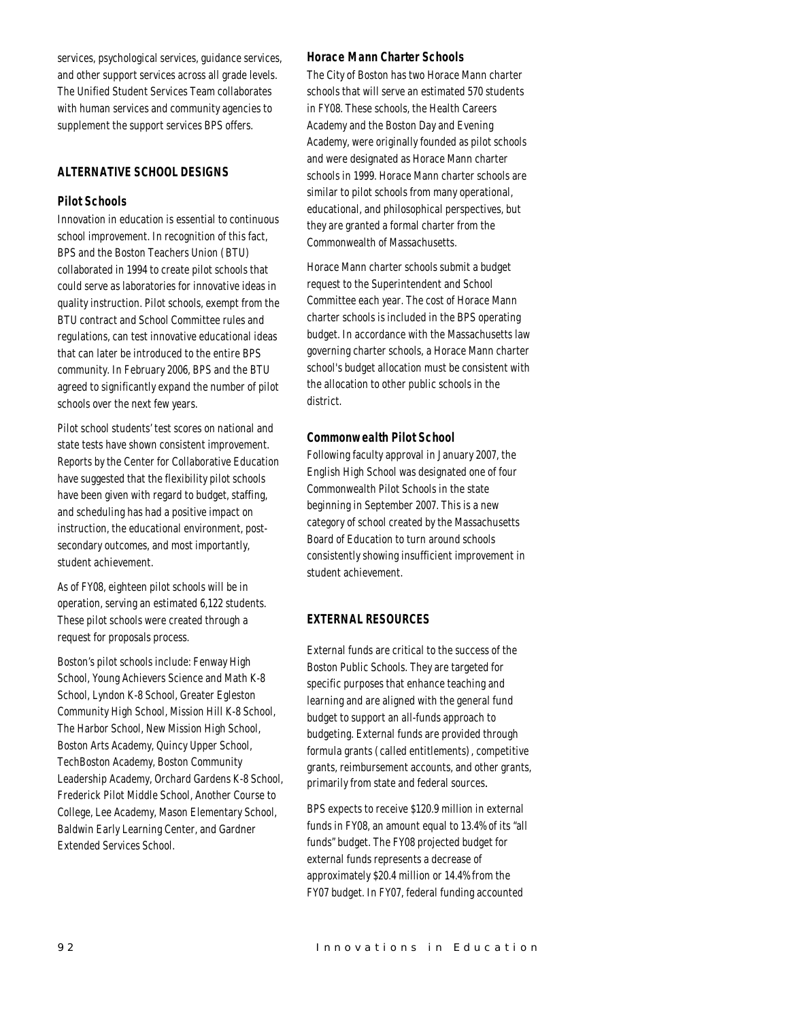services, psychological services, guidance services, and other support services across all grade levels. The Unified Student Services Team collaborates with human services and community agencies to supplement the support services BPS offers.

# *ALTERNATIVE SCHOOL DESIGNS*

## *Pilot Schools*

Innovation in education is essential to continuous school improvement. In recognition of this fact, BPS and the Boston Teachers Union (BTU) collaborated in 1994 to create pilot schools that could serve as laboratories for innovative ideas in quality instruction. Pilot schools, exempt from the BTU contract and School Committee rules and regulations, can test innovative educational ideas that can later be introduced to the entire BPS community. In February 2006, BPS and the BTU agreed to significantly expand the number of pilot schools over the next few years.

Pilot school students' test scores on national and state tests have shown consistent improvement. Reports by the Center for Collaborative Education have suggested that the flexibility pilot schools have been given with regard to budget, staffing, and scheduling has had a positive impact on instruction, the educational environment, postsecondary outcomes, and most importantly, student achievement.

As of FY08, eighteen pilot schools will be in operation, serving an estimated 6,122 students. These pilot schools were created through a request for proposals process.

Boston's pilot schools include: Fenway High School, Young Achievers Science and Math K-8 School, Lyndon K-8 School, Greater Egleston Community High School, Mission Hill K-8 School, The Harbor School, New Mission High School, Boston Arts Academy, Quincy Upper School, TechBoston Academy, Boston Community Leadership Academy, Orchard Gardens K-8 School, Frederick Pilot Middle School, Another Course to College, Lee Academy, Mason Elementary School, Baldwin Early Learning Center, and Gardner Extended Services School.

## *Horace Mann Charter Schools*

The City of Boston has two Horace Mann charter schools that will serve an estimated 570 students in FY08. These schools, the Health Careers Academy and the Boston Day and Evening Academy, were originally founded as pilot schools and were designated as Horace Mann charter schools in 1999. Horace Mann charter schools are similar to pilot schools from many operational, educational, and philosophical perspectives, but they are granted a formal charter from the Commonwealth of Massachusetts.

Horace Mann charter schools submit a budget request to the Superintendent and School Committee each year. The cost of Horace Mann charter schools is included in the BPS operating budget. In accordance with the Massachusetts law governing charter schools, a Horace Mann charter school's budget allocation must be consistent with the allocation to other public schools in the district.

#### *Commonwealth Pilot School*

Following faculty approval in January 2007, the English High School was designated one of four Commonwealth Pilot Schools in the state beginning in September 2007. This is a new category of school created by the Massachusetts Board of Education to turn around schools consistently showing insufficient improvement in student achievement.

## *EXTERNAL RESOURCES*

External funds are critical to the success of the Boston Public Schools. They are targeted for specific purposes that enhance teaching and learning and are aligned with the general fund budget to support an all-funds approach to budgeting. External funds are provided through formula grants (called entitlements), competitive grants, reimbursement accounts, and other grants, primarily from state and federal sources.

BPS expects to receive \$120.9 million in external funds in FY08, an amount equal to 13.4% of its "all funds" budget. The FY08 projected budget for external funds represents a decrease of approximately \$20.4 million or 14.4% from the FY07 budget. In FY07, federal funding accounted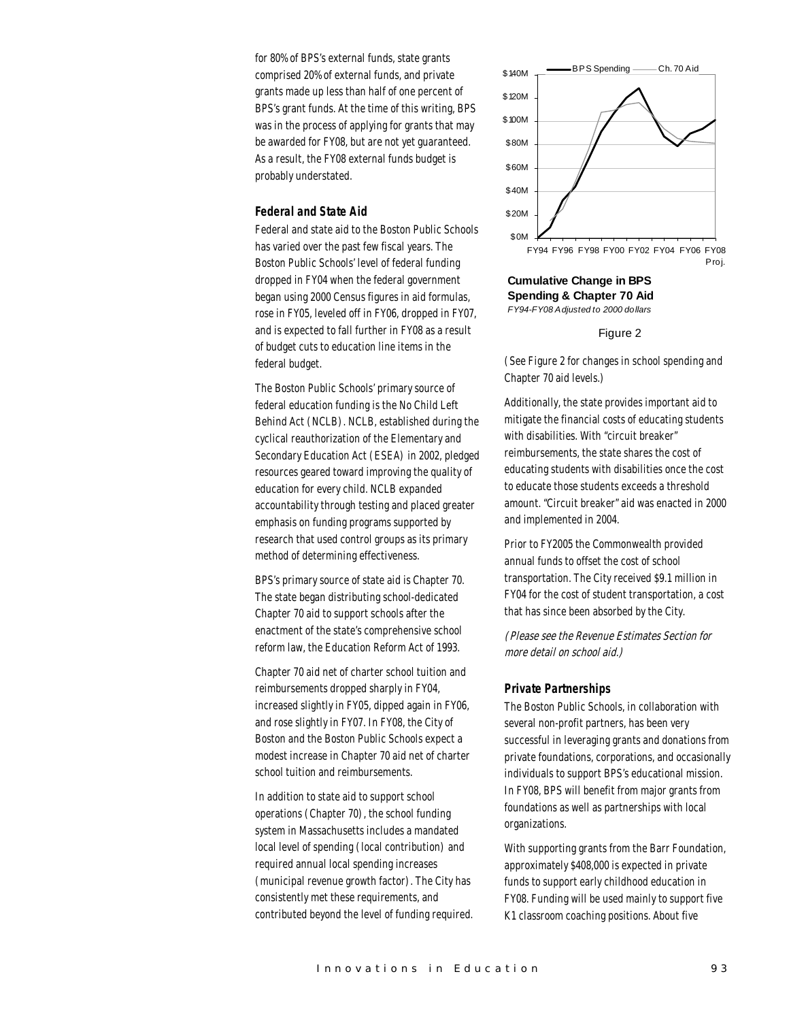for 80% of BPS's external funds, state grants comprised 20% of external funds, and private grants made up less than half of one percent of BPS's grant funds. At the time of this writing, BPS was in the process of applying for grants that may be awarded for FY08, but are not yet guaranteed. As a result, the FY08 external funds budget is probably understated.

## *Federal and State Aid*

Federal and state aid to the Boston Public Schools has varied over the past few fiscal years. The Boston Public Schools' level of federal funding dropped in FY04 when the federal government began using 2000 Census figures in aid formulas, rose in FY05, leveled off in FY06, dropped in FY07, and is expected to fall further in FY08 as a result of budget cuts to education line items in the federal budget.

The Boston Public Schools' primary source of federal education funding is the No Child Left Behind Act (NCLB). NCLB, established during the cyclical reauthorization of the Elementary and Secondary Education Act (ESEA) in 2002, pledged resources geared toward improving the quality of education for every child. NCLB expanded accountability through testing and placed greater emphasis on funding programs supported by research that used control groups as its primary method of determining effectiveness.

BPS's primary source of state aid is Chapter 70. The state began distributing school-dedicated Chapter 70 aid to support schools after the enactment of the state's comprehensive school reform law, the Education Reform Act of 1993.

Chapter 70 aid net of charter school tuition and reimbursements dropped sharply in FY04, increased slightly in FY05, dipped again in FY06, and rose slightly in FY07. In FY08, the City of Boston and the Boston Public Schools expect a modest increase in Chapter 70 aid net of charter school tuition and reimbursements.

In addition to state aid to support school operations (Chapter 70), the school funding system in Massachusetts includes a mandated local level of spending (local contribution) and required annual local spending increases (municipal revenue growth factor). The City has consistently met these requirements, and contributed beyond the level of funding required.



**Cumulative Change in BPS Spending & Chapter 70 Aid** *FY94-FY08 Adjusted to 2000 dollars*

#### Figure 2

(See Figure 2 for changes in school spending and Chapter 70 aid levels.)

Additionally, the state provides important aid to mitigate the financial costs of educating students with disabilities. With "circuit breaker" reimbursements, the state shares the cost of educating students with disabilities once the cost to educate those students exceeds a threshold amount. "Circuit breaker" aid was enacted in 2000 and implemented in 2004.

Prior to FY2005 the Commonwealth provided annual funds to offset the cost of school transportation. The City received \$9.1 million in FY04 for the cost of student transportation, a cost that has since been absorbed by the City.

(Please see the Revenue Estimates Section for more detail on school aid.)

#### *Private Partnerships*

The Boston Public Schools, in collaboration with several non-profit partners, has been very successful in leveraging grants and donations from private foundations, corporations, and occasionally individuals to support BPS's educational mission. In FY08, BPS will benefit from major grants from foundations as well as partnerships with local organizations.

With supporting grants from the Barr Foundation, approximately \$408,000 is expected in private funds to support early childhood education in FY08. Funding will be used mainly to support five K1 classroom coaching positions. About five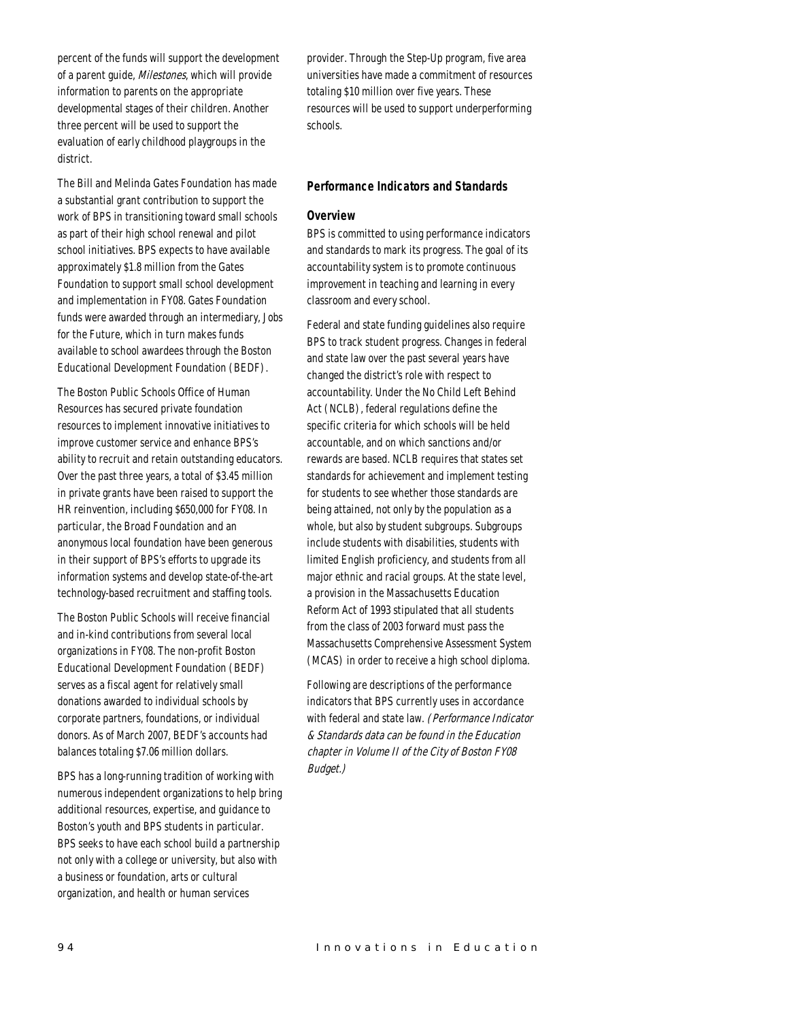percent of the funds will support the development of a parent guide, Milestones, which will provide information to parents on the appropriate developmental stages of their children. Another three percent will be used to support the evaluation of early childhood playgroups in the district.

The Bill and Melinda Gates Foundation has made a substantial grant contribution to support the work of BPS in transitioning toward small schools as part of their high school renewal and pilot school initiatives. BPS expects to have available approximately \$1.8 million from the Gates Foundation to support small school development and implementation in FY08. Gates Foundation funds were awarded through an intermediary, Jobs for the Future, which in turn makes funds available to school awardees through the Boston Educational Development Foundation (BEDF).

The Boston Public Schools Office of Human Resources has secured private foundation resources to implement innovative initiatives to improve customer service and enhance BPS's ability to recruit and retain outstanding educators. Over the past three years, a total of \$3.45 million in private grants have been raised to support the HR reinvention, including \$650,000 for FY08. In particular, the Broad Foundation and an anonymous local foundation have been generous in their support of BPS's efforts to upgrade its information systems and develop state-of-the-art technology-based recruitment and staffing tools.

The Boston Public Schools will receive financial and in-kind contributions from several local organizations in FY08. The non-profit Boston Educational Development Foundation (BEDF) serves as a fiscal agent for relatively small donations awarded to individual schools by corporate partners, foundations, or individual donors. As of March 2007, BEDF's accounts had balances totaling \$7.06 million dollars.

BPS has a long-running tradition of working with numerous independent organizations to help bring additional resources, expertise, and guidance to Boston's youth and BPS students in particular. BPS seeks to have each school build a partnership not only with a college or university, but also with a business or foundation, arts or cultural organization, and health or human services

provider. Through the Step-Up program, five area universities have made a commitment of resources totaling \$10 million over five years. These resources will be used to support underperforming schools.

## *Performance Indicators and Standards*

#### *Overview*

BPS is committed to using performance indicators and standards to mark its progress. The goal of its accountability system is to promote continuous improvement in teaching and learning in every classroom and every school.

Federal and state funding guidelines also require BPS to track student progress. Changes in federal and state law over the past several years have changed the district's role with respect to accountability. Under the No Child Left Behind Act (NCLB), federal regulations define the specific criteria for which schools will be held accountable, and on which sanctions and/or rewards are based. NCLB requires that states set standards for achievement and implement testing for students to see whether those standards are being attained, not only by the population as a whole, but also by student subgroups. Subgroups include students with disabilities, students with limited English proficiency, and students from all major ethnic and racial groups. At the state level, a provision in the Massachusetts Education Reform Act of 1993 stipulated that all students from the class of 2003 forward must pass the Massachusetts Comprehensive Assessment System (MCAS) in order to receive a high school diploma.

Following are descriptions of the performance indicators that BPS currently uses in accordance with federal and state law. (Performance Indicator & Standards data can be found in the Education chapter in Volume II of the City of Boston FY08 Budget.)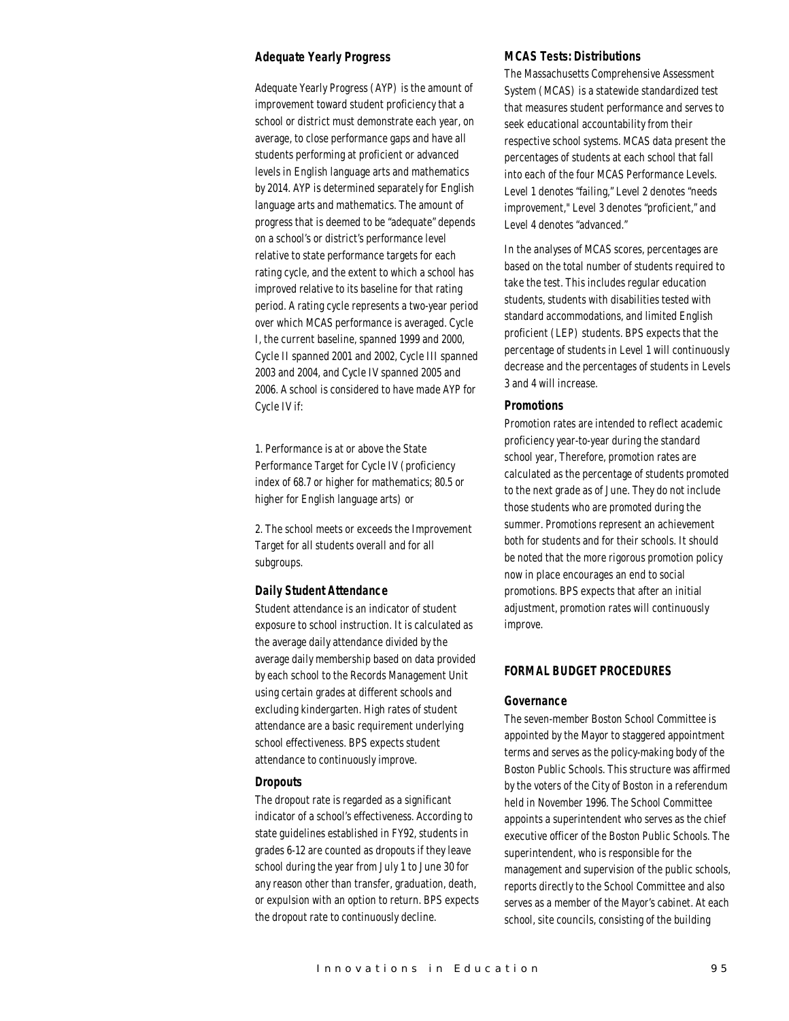## *Adequate Yearly Progress*

Adequate Yearly Progress (AYP) is the amount of improvement toward student proficiency that a school or district must demonstrate each year, on average, to close performance gaps and have all students performing at proficient or advanced levels in English language arts and mathematics by 2014. AYP is determined separately for English language arts and mathematics. The amount of progress that is deemed to be "adequate" depends on a school's or district's performance level relative to state performance targets for each rating cycle, and the extent to which a school has improved relative to its baseline for that rating period. A rating cycle represents a two-year period over which MCAS performance is averaged. Cycle I, the current baseline, spanned 1999 and 2000, Cycle II spanned 2001 and 2002, Cycle III spanned 2003 and 2004, and Cycle IV spanned 2005 and 2006. A school is considered to have made AYP for Cycle IV if:

1. Performance is at or above the State Performance Target for Cycle IV (proficiency index of 68.7 or higher for mathematics; 80.5 or higher for English language arts) or

2. The school meets or exceeds the Improvement Target for all students overall and for all subgroups.

#### *Daily Student Attendance*

Student attendance is an indicator of student exposure to school instruction. It is calculated as the average daily attendance divided by the average daily membership based on data provided by each school to the Records Management Unit using certain grades at different schools and excluding kindergarten. High rates of student attendance are a basic requirement underlying school effectiveness. BPS expects student attendance to continuously improve.

#### *Dropouts*

The dropout rate is regarded as a significant indicator of a school's effectiveness. According to state guidelines established in FY92, students in grades 6-12 are counted as dropouts if they leave school during the year from July 1 to June 30 for any reason other than transfer, graduation, death, or expulsion with an option to return. BPS expects the dropout rate to continuously decline.

## *MCAS Tests: Distributions*

The Massachusetts Comprehensive Assessment System (MCAS) is a statewide standardized test that measures student performance and serves to seek educational accountability from their respective school systems. MCAS data present the percentages of students at each school that fall into each of the four MCAS Performance Levels. Level 1 denotes "failing," Level 2 denotes "needs improvement," Level 3 denotes "proficient," and Level 4 denotes "advanced."

In the analyses of MCAS scores, percentages are based on the total number of students required to take the test. This includes regular education students, students with disabilities tested with standard accommodations, and limited English proficient (LEP) students. BPS expects that the percentage of students in Level 1 will continuously decrease and the percentages of students in Levels 3 and 4 will increase.

## *Promotions*

Promotion rates are intended to reflect academic proficiency year-to-year during the standard school year, Therefore, promotion rates are calculated as the percentage of students promoted to the next grade as of June. They do not include those students who are promoted during the summer. Promotions represent an achievement both for students and for their schools. It should be noted that the more rigorous promotion policy now in place encourages an end to social promotions. BPS expects that after an initial adjustment, promotion rates will continuously improve.

# *FORMAL BUDGET PROCEDURES*

#### *Governance*

The seven-member Boston School Committee is appointed by the Mayor to staggered appointment terms and serves as the policy-making body of the Boston Public Schools. This structure was affirmed by the voters of the City of Boston in a referendum held in November 1996. The School Committee appoints a superintendent who serves as the chief executive officer of the Boston Public Schools. The superintendent, who is responsible for the management and supervision of the public schools, reports directly to the School Committee and also serves as a member of the Mayor's cabinet. At each school, site councils, consisting of the building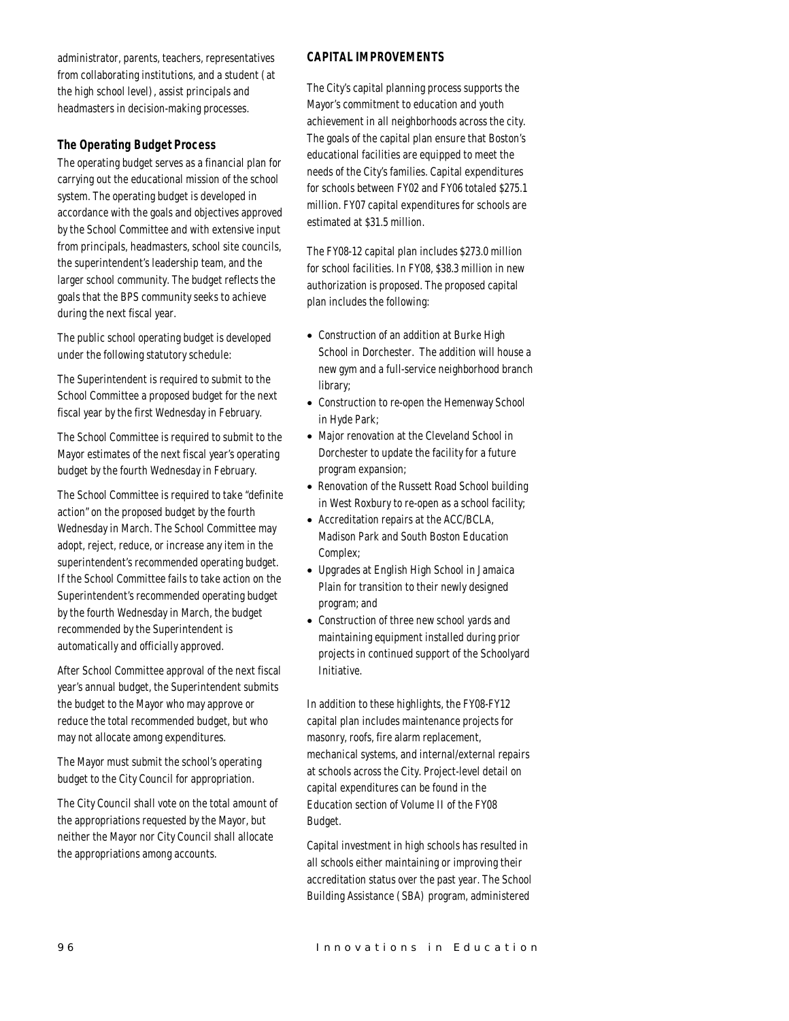administrator, parents, teachers, representatives from collaborating institutions, and a student (at the high school level), assist principals and headmasters in decision-making processes.

# *The Operating Budget Process*

The operating budget serves as a financial plan for carrying out the educational mission of the school system. The operating budget is developed in accordance with the goals and objectives approved by the School Committee and with extensive input from principals, headmasters, school site councils, the superintendent's leadership team, and the larger school community. The budget reflects the goals that the BPS community seeks to achieve during the next fiscal year.

The public school operating budget is developed under the following statutory schedule:

The Superintendent is required to submit to the School Committee a proposed budget for the next fiscal year by the first Wednesday in February.

The School Committee is required to submit to the Mayor estimates of the next fiscal year's operating budget by the fourth Wednesday in February.

The School Committee is required to take "definite action" on the proposed budget by the fourth Wednesday in March. The School Committee may adopt, reject, reduce, or increase any item in the superintendent's recommended operating budget. If the School Committee fails to take action on the Superintendent's recommended operating budget by the fourth Wednesday in March, the budget recommended by the Superintendent is automatically and officially approved.

After School Committee approval of the next fiscal year's annual budget, the Superintendent submits the budget to the Mayor who may approve or reduce the total recommended budget, but who may not allocate among expenditures.

The Mayor must submit the school's operating budget to the City Council for appropriation.

The City Council shall vote on the total amount of the appropriations requested by the Mayor, but neither the Mayor nor City Council shall allocate the appropriations among accounts.

# *CAPITAL IMPROVEMENTS*

The City's capital planning process supports the Mayor's commitment to education and youth achievement in all neighborhoods across the city. The goals of the capital plan ensure that Boston's educational facilities are equipped to meet the needs of the City's families. Capital expenditures for schools between FY02 and FY06 totaled \$275.1 million. FY07 capital expenditures for schools are estimated at \$31.5 million.

The FY08-12 capital plan includes \$273.0 million for school facilities. In FY08, \$38.3 million in new authorization is proposed. The proposed capital plan includes the following:

- Construction of an addition at Burke High School in Dorchester. The addition will house a new gym and a full-service neighborhood branch library;
- Construction to re-open the Hemenway School in Hyde Park;
- Major renovation at the Cleveland School in Dorchester to update the facility for a future program expansion;
- Renovation of the Russett Road School building in West Roxbury to re-open as a school facility;
- Accreditation repairs at the ACC/BCLA, Madison Park and South Boston Education Complex;
- Upgrades at English High School in Jamaica Plain for transition to their newly designed program; and
- Construction of three new school yards and maintaining equipment installed during prior projects in continued support of the Schoolyard Initiative.

In addition to these highlights, the FY08-FY12 capital plan includes maintenance projects for masonry, roofs, fire alarm replacement, mechanical systems, and internal/external repairs at schools across the City. Project-level detail on capital expenditures can be found in the Education section of Volume II of the FY08 Budget.

Capital investment in high schools has resulted in all schools either maintaining or improving their accreditation status over the past year. The School Building Assistance (SBA) program, administered